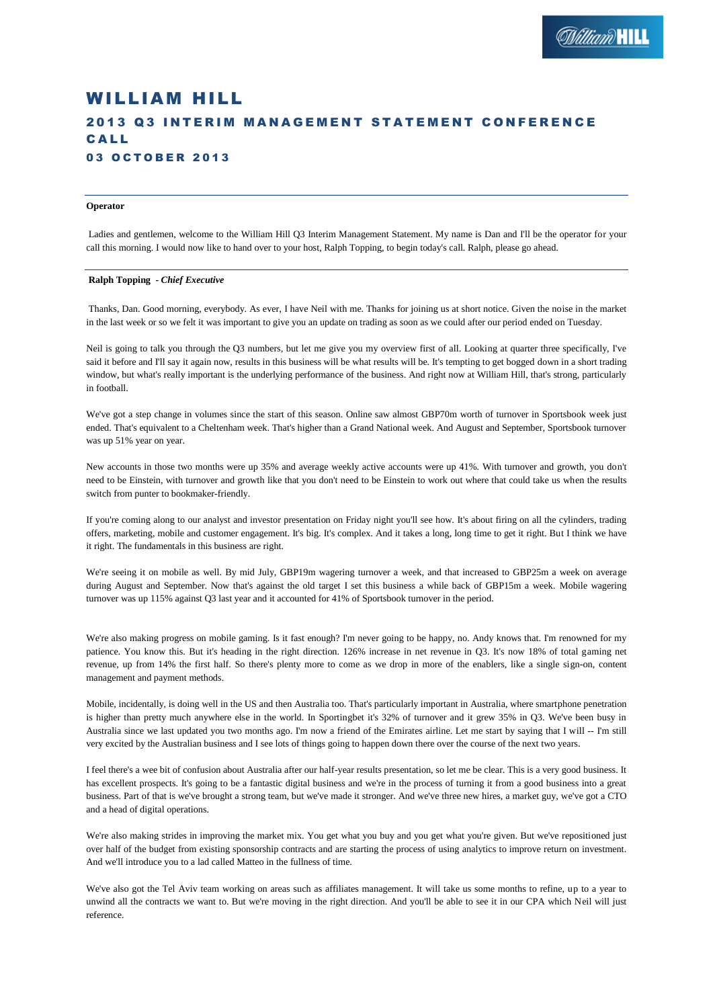# WILLIAM HILL 2013 03 INTERIM MANAGEMENT STATEMENT CONFERENCE C A L L 03 OCTOBER 2013

## **Operator**

Ladies and gentlemen, welcome to the William Hill Q3 Interim Management Statement. My name is Dan and I'll be the operator for your call this morning. I would now like to hand over to your host, Ralph Topping, to begin today's call. Ralph, please go ahead.

## **Ralph Topping** *- Chief Executive*

Thanks, Dan. Good morning, everybody. As ever, I have Neil with me. Thanks for joining us at short notice. Given the noise in the market in the last week or so we felt it was important to give you an update on trading as soon as we could after our period ended on Tuesday.

Neil is going to talk you through the Q3 numbers, but let me give you my overview first of all. Looking at quarter three specifically, I've said it before and I'll say it again now, results in this business will be what results will be. It's tempting to get bogged down in a short trading window, but what's really important is the underlying performance of the business. And right now at William Hill, that's strong, particularly in football.

We've got a step change in volumes since the start of this season. Online saw almost GBP70m worth of turnover in Sportsbook week just ended. That's equivalent to a Cheltenham week. That's higher than a Grand National week. And August and September, Sportsbook turnover was up 51% year on year.

New accounts in those two months were up 35% and average weekly active accounts were up 41%. With turnover and growth, you don't need to be Einstein, with turnover and growth like that you don't need to be Einstein to work out where that could take us when the results switch from punter to bookmaker-friendly.

If you're coming along to our analyst and investor presentation on Friday night you'll see how. It's about firing on all the cylinders, trading offers, marketing, mobile and customer engagement. It's big. It's complex. And it takes a long, long time to get it right. But I think we have it right. The fundamentals in this business are right.

We're seeing it on mobile as well. By mid July, GBP19m wagering turnover a week, and that increased to GBP25m a week on average during August and September. Now that's against the old target I set this business a while back of GBP15m a week. Mobile wagering turnover was up 115% against Q3 last year and it accounted for 41% of Sportsbook turnover in the period.

We're also making progress on mobile gaming. Is it fast enough? I'm never going to be happy, no. Andy knows that. I'm renowned for my patience. You know this. But it's heading in the right direction. 126% increase in net revenue in Q3. It's now 18% of total gaming net revenue, up from 14% the first half. So there's plenty more to come as we drop in more of the enablers, like a single sign-on, content management and payment methods.

Mobile, incidentally, is doing well in the US and then Australia too. That's particularly important in Australia, where smartphone penetration is higher than pretty much anywhere else in the world. In Sportingbet it's 32% of turnover and it grew 35% in Q3. We've been busy in Australia since we last updated you two months ago. I'm now a friend of the Emirates airline. Let me start by saying that I will -- I'm still very excited by the Australian business and I see lots of things going to happen down there over the course of the next two years.

I feel there's a wee bit of confusion about Australia after our half-year results presentation, so let me be clear. This is a very good business. It has excellent prospects. It's going to be a fantastic digital business and we're in the process of turning it from a good business into a great business. Part of that is we've brought a strong team, but we've made it stronger. And we've three new hires, a market guy, we've got a CTO and a head of digital operations.

We're also making strides in improving the market mix. You get what you buy and you get what you're given. But we've repositioned just over half of the budget from existing sponsorship contracts and are starting the process of using analytics to improve return on investment. And we'll introduce you to a lad called Matteo in the fullness of time.

We've also got the Tel Aviv team working on areas such as affiliates management. It will take us some months to refine, up to a year to unwind all the contracts we want to. But we're moving in the right direction. And you'll be able to see it in our CPA which Neil will just reference.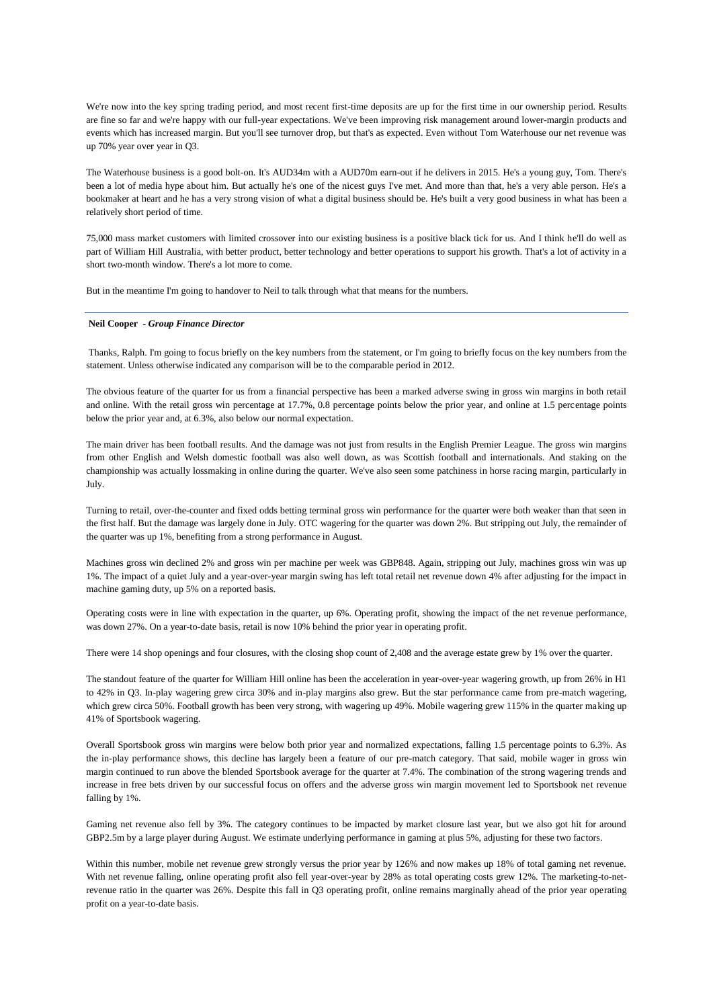We're now into the key spring trading period, and most recent first-time deposits are up for the first time in our ownership period. Results are fine so far and we're happy with our full-year expectations. We've been improving risk management around lower-margin products and events which has increased margin. But you'll see turnover drop, but that's as expected. Even without Tom Waterhouse our net revenue was up 70% year over year in Q3.

The Waterhouse business is a good bolt-on. It's AUD34m with a AUD70m earn-out if he delivers in 2015. He's a young guy, Tom. There's been a lot of media hype about him. But actually he's one of the nicest guys I've met. And more than that, he's a very able person. He's a bookmaker at heart and he has a very strong vision of what a digital business should be. He's built a very good business in what has been a relatively short period of time.

75,000 mass market customers with limited crossover into our existing business is a positive black tick for us. And I think he'll do well as part of William Hill Australia, with better product, better technology and better operations to support his growth. That's a lot of activity in a short two-month window. There's a lot more to come.

But in the meantime I'm going to handover to Neil to talk through what that means for the numbers.

## **Neil Cooper** *- Group Finance Director*

Thanks, Ralph. I'm going to focus briefly on the key numbers from the statement, or I'm going to briefly focus on the key numbers from the statement. Unless otherwise indicated any comparison will be to the comparable period in 2012.

The obvious feature of the quarter for us from a financial perspective has been a marked adverse swing in gross win margins in both retail and online. With the retail gross win percentage at 17.7%, 0.8 percentage points below the prior year, and online at 1.5 percentage points below the prior year and, at 6.3%, also below our normal expectation.

The main driver has been football results. And the damage was not just from results in the English Premier League. The gross win margins from other English and Welsh domestic football was also well down, as was Scottish football and internationals. And staking on the championship was actually lossmaking in online during the quarter. We've also seen some patchiness in horse racing margin, particularly in July.

Turning to retail, over-the-counter and fixed odds betting terminal gross win performance for the quarter were both weaker than that seen in the first half. But the damage was largely done in July. OTC wagering for the quarter was down 2%. But stripping out July, the remainder of the quarter was up 1%, benefiting from a strong performance in August.

Machines gross win declined 2% and gross win per machine per week was GBP848. Again, stripping out July, machines gross win was up 1%. The impact of a quiet July and a year-over-year margin swing has left total retail net revenue down 4% after adjusting for the impact in machine gaming duty, up 5% on a reported basis.

Operating costs were in line with expectation in the quarter, up 6%. Operating profit, showing the impact of the net revenue performance, was down 27%. On a year-to-date basis, retail is now 10% behind the prior year in operating profit.

There were 14 shop openings and four closures, with the closing shop count of 2,408 and the average estate grew by 1% over the quarter.

The standout feature of the quarter for William Hill online has been the acceleration in year-over-year wagering growth, up from 26% in H1 to 42% in Q3. In-play wagering grew circa 30% and in-play margins also grew. But the star performance came from pre-match wagering, which grew circa 50%. Football growth has been very strong, with wagering up 49%. Mobile wagering grew 115% in the quarter making up 41% of Sportsbook wagering.

Overall Sportsbook gross win margins were below both prior year and normalized expectations, falling 1.5 percentage points to 6.3%. As the in-play performance shows, this decline has largely been a feature of our pre-match category. That said, mobile wager in gross win margin continued to run above the blended Sportsbook average for the quarter at 7.4%. The combination of the strong wagering trends and increase in free bets driven by our successful focus on offers and the adverse gross win margin movement led to Sportsbook net revenue falling by 1%.

Gaming net revenue also fell by 3%. The category continues to be impacted by market closure last year, but we also got hit for around GBP2.5m by a large player during August. We estimate underlying performance in gaming at plus 5%, adjusting for these two factors.

Within this number, mobile net revenue grew strongly versus the prior year by 126% and now makes up 18% of total gaming net revenue. With net revenue falling, online operating profit also fell year-over-year by 28% as total operating costs grew 12%. The marketing-to-netrevenue ratio in the quarter was 26%. Despite this fall in Q3 operating profit, online remains marginally ahead of the prior year operating profit on a year-to-date basis.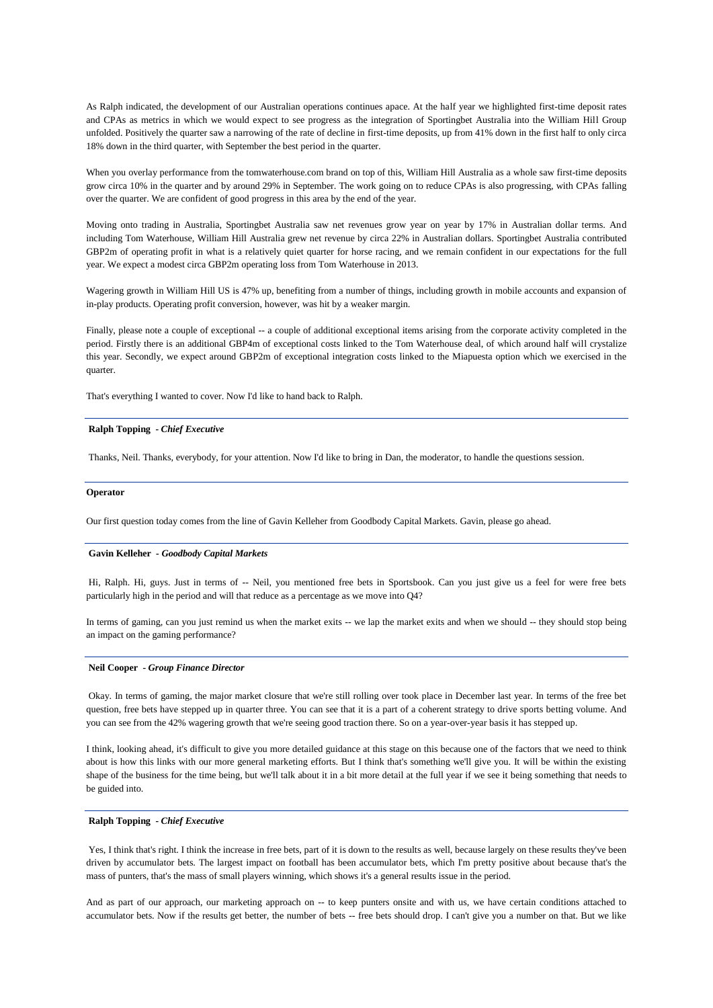As Ralph indicated, the development of our Australian operations continues apace. At the half year we highlighted first-time deposit rates and CPAs as metrics in which we would expect to see progress as the integration of Sportingbet Australia into the William Hill Group unfolded. Positively the quarter saw a narrowing of the rate of decline in first-time deposits, up from 41% down in the first half to only circa 18% down in the third quarter, with September the best period in the quarter.

When you overlay performance from the tomwaterhouse.com brand on top of this, William Hill Australia as a whole saw first-time deposits grow circa 10% in the quarter and by around 29% in September. The work going on to reduce CPAs is also progressing, with CPAs falling over the quarter. We are confident of good progress in this area by the end of the year.

Moving onto trading in Australia, Sportingbet Australia saw net revenues grow year on year by 17% in Australian dollar terms. And including Tom Waterhouse, William Hill Australia grew net revenue by circa 22% in Australian dollars. Sportingbet Australia contributed GBP2m of operating profit in what is a relatively quiet quarter for horse racing, and we remain confident in our expectations for the full year. We expect a modest circa GBP2m operating loss from Tom Waterhouse in 2013.

Wagering growth in William Hill US is 47% up, benefiting from a number of things, including growth in mobile accounts and expansion of in-play products. Operating profit conversion, however, was hit by a weaker margin.

Finally, please note a couple of exceptional -- a couple of additional exceptional items arising from the corporate activity completed in the period. Firstly there is an additional GBP4m of exceptional costs linked to the Tom Waterhouse deal, of which around half will crystalize this year. Secondly, we expect around GBP2m of exceptional integration costs linked to the Miapuesta option which we exercised in the quarter.

That's everything I wanted to cover. Now I'd like to hand back to Ralph.

### **Ralph Topping** *- Chief Executive*

Thanks, Neil. Thanks, everybody, for your attention. Now I'd like to bring in Dan, the moderator, to handle the questions session.

#### **Operator**

Our first question today comes from the line of Gavin Kelleher from Goodbody Capital Markets. Gavin, please go ahead.

#### **Gavin Kelleher** *- Goodbody Capital Markets*

Hi, Ralph. Hi, guys. Just in terms of -- Neil, you mentioned free bets in Sportsbook. Can you just give us a feel for were free bets particularly high in the period and will that reduce as a percentage as we move into Q4?

In terms of gaming, can you just remind us when the market exits -- we lap the market exits and when we should -- they should stop being an impact on the gaming performance?

#### **Neil Cooper** *- Group Finance Director*

Okay. In terms of gaming, the major market closure that we're still rolling over took place in December last year. In terms of the free bet question, free bets have stepped up in quarter three. You can see that it is a part of a coherent strategy to drive sports betting volume. And you can see from the 42% wagering growth that we're seeing good traction there. So on a year-over-year basis it has stepped up.

I think, looking ahead, it's difficult to give you more detailed guidance at this stage on this because one of the factors that we need to think about is how this links with our more general marketing efforts. But I think that's something we'll give you. It will be within the existing shape of the business for the time being, but we'll talk about it in a bit more detail at the full year if we see it being something that needs to be guided into.

## **Ralph Topping** *- Chief Executive*

Yes, I think that's right. I think the increase in free bets, part of it is down to the results as well, because largely on these results they've been driven by accumulator bets. The largest impact on football has been accumulator bets, which I'm pretty positive about because that's the mass of punters, that's the mass of small players winning, which shows it's a general results issue in the period.

And as part of our approach, our marketing approach on -- to keep punters onsite and with us, we have certain conditions attached to accumulator bets. Now if the results get better, the number of bets -- free bets should drop. I can't give you a number on that. But we like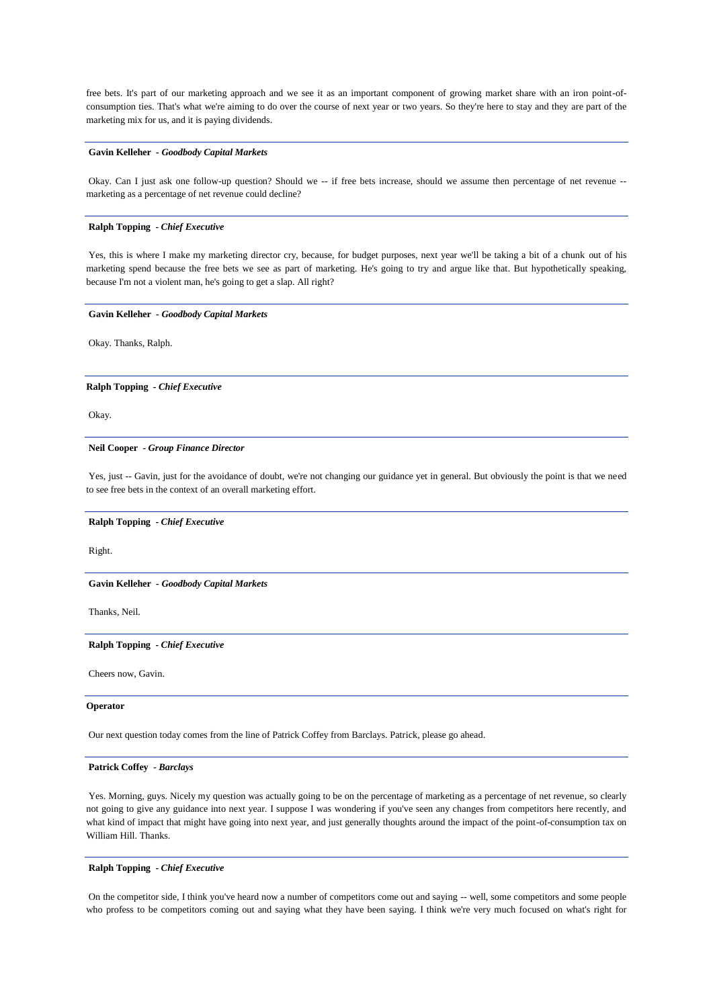free bets. It's part of our marketing approach and we see it as an important component of growing market share with an iron point-ofconsumption ties. That's what we're aiming to do over the course of next year or two years. So they're here to stay and they are part of the marketing mix for us, and it is paying dividends.

## **Gavin Kelleher** *- Goodbody Capital Markets*

Okay. Can I just ask one follow-up question? Should we -- if free bets increase, should we assume then percentage of net revenue - marketing as a percentage of net revenue could decline?

## **Ralph Topping** *- Chief Executive*

Yes, this is where I make my marketing director cry, because, for budget purposes, next year we'll be taking a bit of a chunk out of his marketing spend because the free bets we see as part of marketing. He's going to try and argue like that. But hypothetically speaking, because I'm not a violent man, he's going to get a slap. All right?

#### **Gavin Kelleher** *- Goodbody Capital Markets*

Okay. Thanks, Ralph.

**Ralph Topping** *- Chief Executive* 

Okay.

#### **Neil Cooper** *- Group Finance Director*

Yes, just -- Gavin, just for the avoidance of doubt, we're not changing our guidance yet in general. But obviously the point is that we need to see free bets in the context of an overall marketing effort.

#### **Ralph Topping** *- Chief Executive*

Right.

**Gavin Kelleher** *- Goodbody Capital Markets*

Thanks, Neil.

**Ralph Topping** *- Chief Executive* 

Cheers now, Gavin.

#### **Operator**

Our next question today comes from the line of Patrick Coffey from Barclays. Patrick, please go ahead.

## **Patrick Coffey** *- Barclays*

Yes. Morning, guys. Nicely my question was actually going to be on the percentage of marketing as a percentage of net revenue, so clearly not going to give any guidance into next year. I suppose I was wondering if you've seen any changes from competitors here recently, and what kind of impact that might have going into next year, and just generally thoughts around the impact of the point-of-consumption tax on William Hill. Thanks.

## **Ralph Topping** *- Chief Executive*

On the competitor side, I think you've heard now a number of competitors come out and saying -- well, some competitors and some people who profess to be competitors coming out and saying what they have been saying. I think we're very much focused on what's right for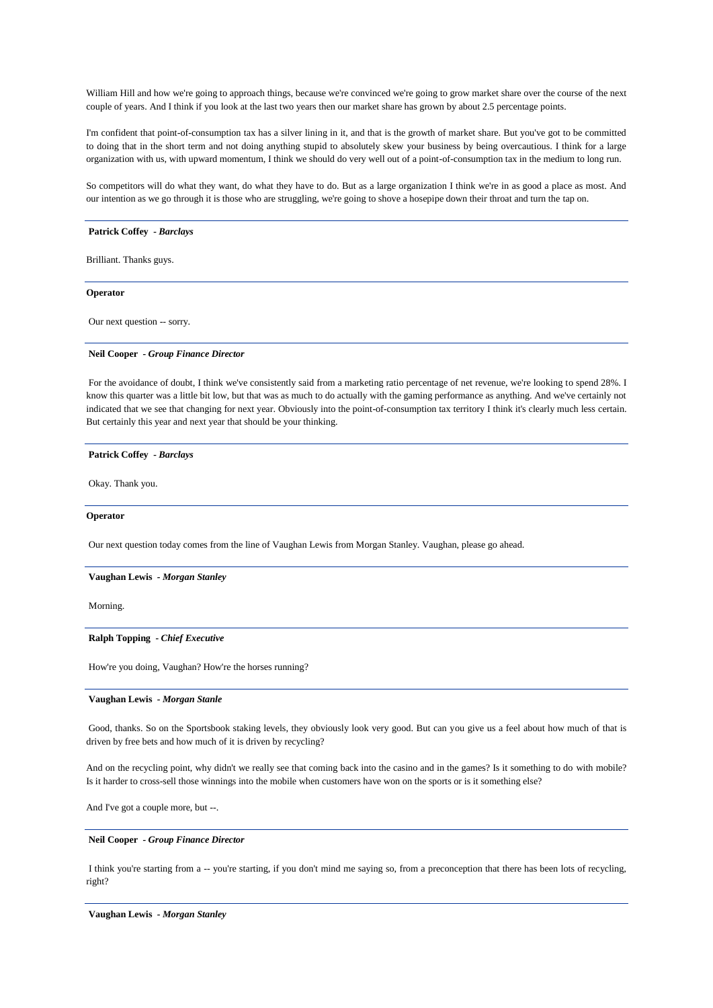William Hill and how we're going to approach things, because we're convinced we're going to grow market share over the course of the next couple of years. And I think if you look at the last two years then our market share has grown by about 2.5 percentage points.

I'm confident that point-of-consumption tax has a silver lining in it, and that is the growth of market share. But you've got to be committed to doing that in the short term and not doing anything stupid to absolutely skew your business by being overcautious. I think for a large organization with us, with upward momentum, I think we should do very well out of a point-of-consumption tax in the medium to long run.

So competitors will do what they want, do what they have to do. But as a large organization I think we're in as good a place as most. And our intention as we go through it is those who are struggling, we're going to shove a hosepipe down their throat and turn the tap on.

#### **Patrick Coffey** *- Barclays*

Brilliant. Thanks guys.

## **Operator**

Our next question -- sorry.

#### **Neil Cooper** *- Group Finance Director*

For the avoidance of doubt, I think we've consistently said from a marketing ratio percentage of net revenue, we're looking to spend 28%. I know this quarter was a little bit low, but that was as much to do actually with the gaming performance as anything. And we've certainly not indicated that we see that changing for next year. Obviously into the point-of-consumption tax territory I think it's clearly much less certain. But certainly this year and next year that should be your thinking.

#### **Patrick Coffey** *- Barclays*

Okay. Thank you.

#### **Operator**

Our next question today comes from the line of Vaughan Lewis from Morgan Stanley. Vaughan, please go ahead.

#### **Vaughan Lewis** *- Morgan Stanley*

Morning.

## **Ralph Topping** *- Chief Executive*

How're you doing, Vaughan? How're the horses running?

## **Vaughan Lewis** *- Morgan Stanle*

Good, thanks. So on the Sportsbook staking levels, they obviously look very good. But can you give us a feel about how much of that is driven by free bets and how much of it is driven by recycling?

And on the recycling point, why didn't we really see that coming back into the casino and in the games? Is it something to do with mobile? Is it harder to cross-sell those winnings into the mobile when customers have won on the sports or is it something else?

And I've got a couple more, but --.

#### **Neil Cooper** *- Group Finance Director*

I think you're starting from a -- you're starting, if you don't mind me saying so, from a preconception that there has been lots of recycling, right?

**Vaughan Lewis** *- Morgan Stanley*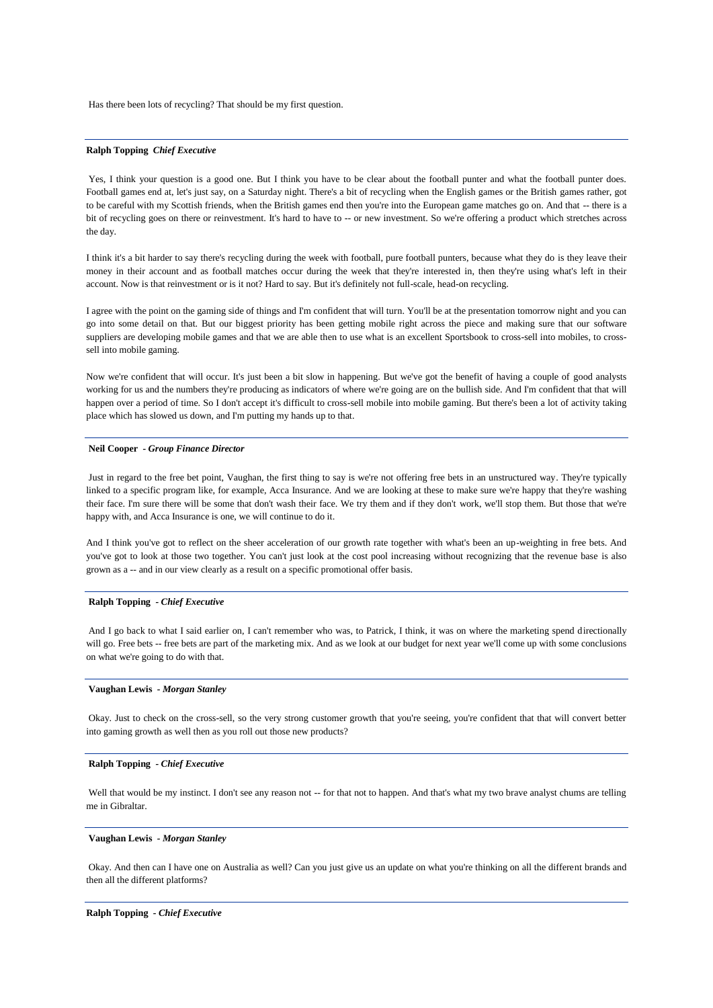Has there been lots of recycling? That should be my first question.

## **Ralph Topping** *Chief Executive*

Yes, I think your question is a good one. But I think you have to be clear about the football punter and what the football punter does. Football games end at, let's just say, on a Saturday night. There's a bit of recycling when the English games or the British games rather, got to be careful with my Scottish friends, when the British games end then you're into the European game matches go on. And that -- there is a bit of recycling goes on there or reinvestment. It's hard to have to -- or new investment. So we're offering a product which stretches across the day.

I think it's a bit harder to say there's recycling during the week with football, pure football punters, because what they do is they leave their money in their account and as football matches occur during the week that they're interested in, then they're using what's left in their account. Now is that reinvestment or is it not? Hard to say. But it's definitely not full-scale, head-on recycling.

I agree with the point on the gaming side of things and I'm confident that will turn. You'll be at the presentation tomorrow night and you can go into some detail on that. But our biggest priority has been getting mobile right across the piece and making sure that our software suppliers are developing mobile games and that we are able then to use what is an excellent Sportsbook to cross-sell into mobiles, to crosssell into mobile gaming.

Now we're confident that will occur. It's just been a bit slow in happening. But we've got the benefit of having a couple of good analysts working for us and the numbers they're producing as indicators of where we're going are on the bullish side. And I'm confident that that will happen over a period of time. So I don't accept it's difficult to cross-sell mobile into mobile gaming. But there's been a lot of activity taking place which has slowed us down, and I'm putting my hands up to that.

#### **Neil Cooper** *- Group Finance Director*

Just in regard to the free bet point, Vaughan, the first thing to say is we're not offering free bets in an unstructured way. They're typically linked to a specific program like, for example, Acca Insurance. And we are looking at these to make sure we're happy that they're washing their face. I'm sure there will be some that don't wash their face. We try them and if they don't work, we'll stop them. But those that we're happy with, and Acca Insurance is one, we will continue to do it.

And I think you've got to reflect on the sheer acceleration of our growth rate together with what's been an up-weighting in free bets. And you've got to look at those two together. You can't just look at the cost pool increasing without recognizing that the revenue base is also grown as a -- and in our view clearly as a result on a specific promotional offer basis.

#### **Ralph Topping** *- Chief Executive*

And I go back to what I said earlier on, I can't remember who was, to Patrick, I think, it was on where the marketing spend directionally will go. Free bets -- free bets are part of the marketing mix. And as we look at our budget for next year we'll come up with some conclusions on what we're going to do with that.

## **Vaughan Lewis** *- Morgan Stanley*

Okay. Just to check on the cross-sell, so the very strong customer growth that you're seeing, you're confident that that will convert better into gaming growth as well then as you roll out those new products?

## **Ralph Topping** *- Chief Executive*

Well that would be my instinct. I don't see any reason not -- for that not to happen. And that's what my two brave analyst chums are telling me in Gibraltar.

#### **Vaughan Lewis** *- Morgan Stanley*

Okay. And then can I have one on Australia as well? Can you just give us an update on what you're thinking on all the different brands and then all the different platforms?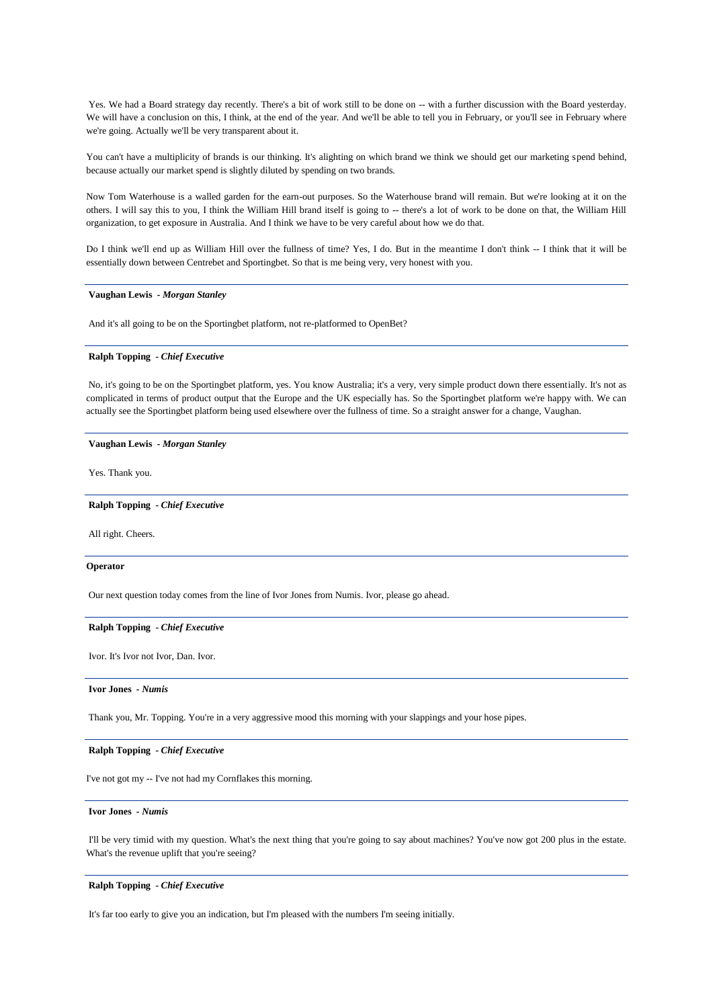Yes. We had a Board strategy day recently. There's a bit of work still to be done on -- with a further discussion with the Board yesterday. We will have a conclusion on this, I think, at the end of the year. And we'll be able to tell you in February, or you'll see in February where we're going. Actually we'll be very transparent about it.

You can't have a multiplicity of brands is our thinking. It's alighting on which brand we think we should get our marketing spend behind, because actually our market spend is slightly diluted by spending on two brands.

Now Tom Waterhouse is a walled garden for the earn-out purposes. So the Waterhouse brand will remain. But we're looking at it on the others. I will say this to you, I think the William Hill brand itself is going to -- there's a lot of work to be done on that, the William Hill organization, to get exposure in Australia. And I think we have to be very careful about how we do that.

Do I think we'll end up as William Hill over the fullness of time? Yes, I do. But in the meantime I don't think -- I think that it will be essentially down between Centrebet and Sportingbet. So that is me being very, very honest with you.

## **Vaughan Lewis** *- Morgan Stanley*

And it's all going to be on the Sportingbet platform, not re-platformed to OpenBet?

#### **Ralph Topping** *- Chief Executive*

No, it's going to be on the Sportingbet platform, yes. You know Australia; it's a very, very simple product down there essentially. It's not as complicated in terms of product output that the Europe and the UK especially has. So the Sportingbet platform we're happy with. We can actually see the Sportingbet platform being used elsewhere over the fullness of time. So a straight answer for a change, Vaughan.

## **Vaughan Lewis** *- Morgan Stanley*

Yes. Thank you.

**Ralph Topping** *- Chief Executive* 

All right. Cheers.

#### **Operator**

Our next question today comes from the line of Ivor Jones from Numis. Ivor, please go ahead.

#### **Ralph Topping** *- Chief Executive*

Ivor. It's Ivor not Ivor, Dan. Ivor.

### **Ivor Jones** *- Numis*

Thank you, Mr. Topping. You're in a very aggressive mood this morning with your slappings and your hose pipes.

#### **Ralph Topping** *- Chief Executive*

I've not got my -- I've not had my Cornflakes this morning.

## **Ivor Jones** *- Numis*

I'll be very timid with my question. What's the next thing that you're going to say about machines? You've now got 200 plus in the estate. What's the revenue uplift that you're seeing?

#### **Ralph Topping** *- Chief Executive*

It's far too early to give you an indication, but I'm pleased with the numbers I'm seeing initially.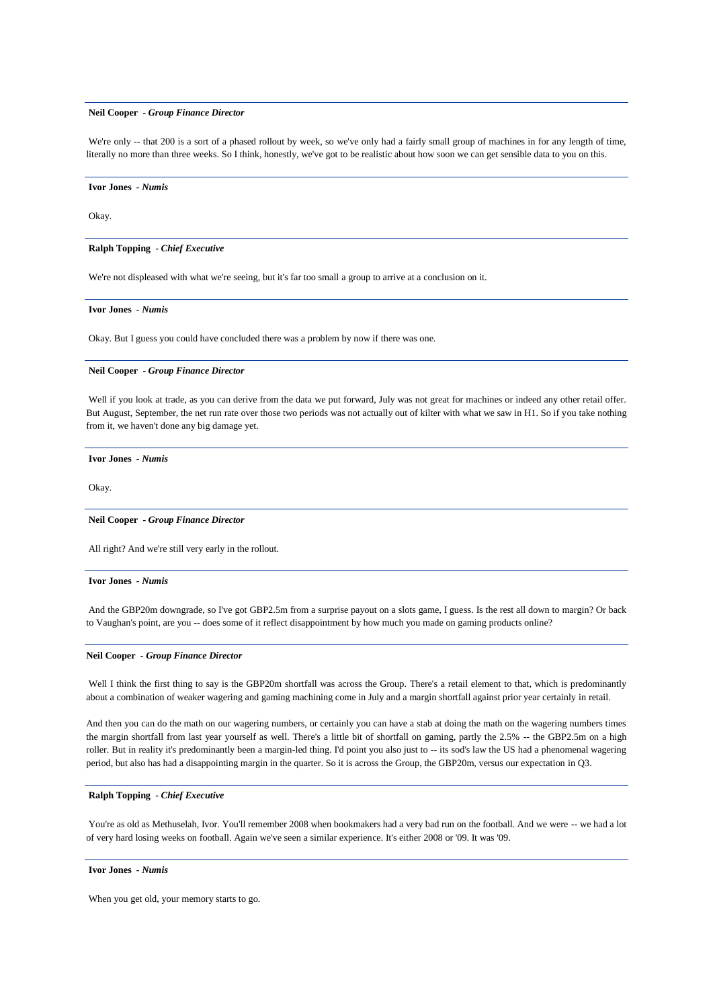#### **Neil Cooper** *- Group Finance Director*

We're only -- that 200 is a sort of a phased rollout by week, so we've only had a fairly small group of machines in for any length of time. literally no more than three weeks. So I think, honestly, we've got to be realistic about how soon we can get sensible data to you on this.

**Ivor Jones** *- Numis* 

Okay.

**Ralph Topping** *- Chief Executive* 

We're not displeased with what we're seeing, but it's far too small a group to arrive at a conclusion on it.

**Ivor Jones** *- Numis* 

Okay. But I guess you could have concluded there was a problem by now if there was one.

#### **Neil Cooper** *- Group Finance Director*

Well if you look at trade, as you can derive from the data we put forward, July was not great for machines or indeed any other retail offer. But August, September, the net run rate over those two periods was not actually out of kilter with what we saw in H1. So if you take nothing from it, we haven't done any big damage yet.

**Ivor Jones** *- Numis* 

Okay.

#### **Neil Cooper** *- Group Finance Director*

All right? And we're still very early in the rollout.

#### **Ivor Jones** *- Numis*

And the GBP20m downgrade, so I've got GBP2.5m from a surprise payout on a slots game, I guess. Is the rest all down to margin? Or back to Vaughan's point, are you -- does some of it reflect disappointment by how much you made on gaming products online?

#### **Neil Cooper** *- Group Finance Director*

Well I think the first thing to say is the GBP20m shortfall was across the Group. There's a retail element to that, which is predominantly about a combination of weaker wagering and gaming machining come in July and a margin shortfall against prior year certainly in retail.

And then you can do the math on our wagering numbers, or certainly you can have a stab at doing the math on the wagering numbers times the margin shortfall from last year yourself as well. There's a little bit of shortfall on gaming, partly the 2.5% -- the GBP2.5m on a high roller. But in reality it's predominantly been a margin-led thing. I'd point you also just to -- its sod's law the US had a phenomenal wagering period, but also has had a disappointing margin in the quarter. So it is across the Group, the GBP20m, versus our expectation in Q3.

### **Ralph Topping** *- Chief Executive*

You're as old as Methuselah, Ivor. You'll remember 2008 when bookmakers had a very bad run on the football. And we were -- we had a lot of very hard losing weeks on football. Again we've seen a similar experience. It's either 2008 or '09. It was '09.

## **Ivor Jones** *- Numis*

When you get old, your memory starts to go.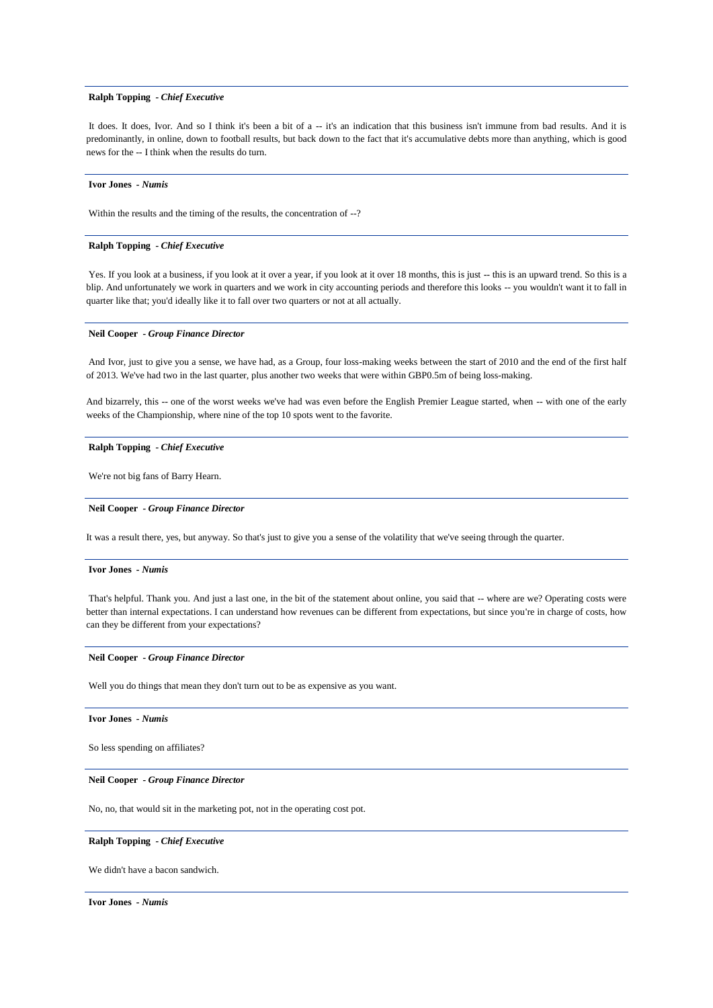## **Ralph Topping** *- Chief Executive*

It does. It does, Ivor. And so I think it's been a bit of a -- it's an indication that this business isn't immune from bad results. And it is predominantly, in online, down to football results, but back down to the fact that it's accumulative debts more than anything, which is good news for the -- I think when the results do turn.

#### **Ivor Jones** *- Numis*

Within the results and the timing of the results, the concentration of --?

## **Ralph Topping** *- Chief Executive*

Yes. If you look at a business, if you look at it over a year, if you look at it over 18 months, this is just -- this is an upward trend. So this is a blip. And unfortunately we work in quarters and we work in city accounting periods and therefore this looks -- you wouldn't want it to fall in quarter like that; you'd ideally like it to fall over two quarters or not at all actually.

## **Neil Cooper** *- Group Finance Director*

And Ivor, just to give you a sense, we have had, as a Group, four loss-making weeks between the start of 2010 and the end of the first half of 2013. We've had two in the last quarter, plus another two weeks that were within GBP0.5m of being loss-making.

And bizarrely, this -- one of the worst weeks we've had was even before the English Premier League started, when -- with one of the early weeks of the Championship, where nine of the top 10 spots went to the favorite.

#### **Ralph Topping** *- Chief Executive*

We're not big fans of Barry Hearn.

## **Neil Cooper** *- Group Finance Director*

It was a result there, yes, but anyway. So that's just to give you a sense of the volatility that we've seeing through the quarter.

## **Ivor Jones** *- Numis*

That's helpful. Thank you. And just a last one, in the bit of the statement about online, you said that -- where are we? Operating costs were better than internal expectations. I can understand how revenues can be different from expectations, but since you're in charge of costs, how can they be different from your expectations?

#### **Neil Cooper** *- Group Finance Director*

Well you do things that mean they don't turn out to be as expensive as you want.

#### **Ivor Jones** *- Numis*

So less spending on affiliates?

## **Neil Cooper** *- Group Finance Director*

No, no, that would sit in the marketing pot, not in the operating cost pot.

#### **Ralph Topping** *- Chief Executive*

We didn't have a bacon sandwich.

**Ivor Jones** *- Numis*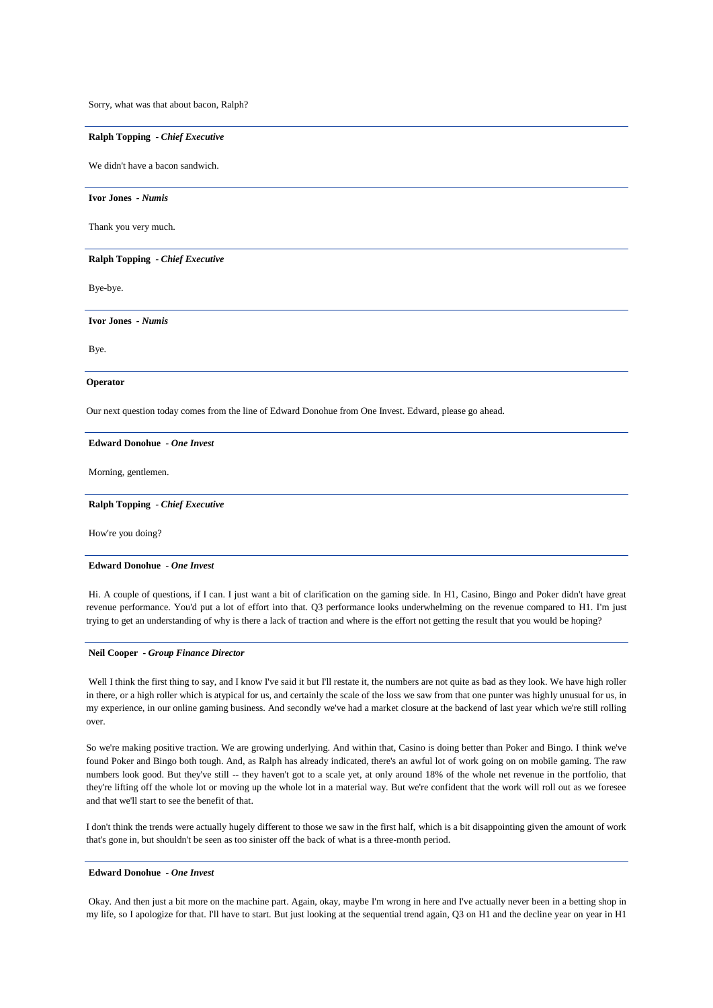Sorry, what was that about bacon, Ralph?

### **Ralph Topping** *- Chief Executive*

We didn't have a bacon sandwich.

**Ivor Jones** *- Numis* 

Thank you very much.

**Ralph Topping** *- Chief Executive* 

Bye-bye.

**Ivor Jones** *- Numis* 

Bye.

#### **Operator**

Our next question today comes from the line of Edward Donohue from One Invest. Edward, please go ahead.

#### **Edward Donohue** *- One Invest*

Morning, gentlemen.

## **Ralph Topping** *- Chief Executive*

How're you doing?

#### **Edward Donohue** *- One Invest*

Hi. A couple of questions, if I can. I just want a bit of clarification on the gaming side. In H1, Casino, Bingo and Poker didn't have great revenue performance. You'd put a lot of effort into that. Q3 performance looks underwhelming on the revenue compared to H1. I'm just trying to get an understanding of why is there a lack of traction and where is the effort not getting the result that you would be hoping?

### **Neil Cooper** *- Group Finance Director*

Well I think the first thing to say, and I know I've said it but I'll restate it, the numbers are not quite as bad as they look. We have high roller in there, or a high roller which is atypical for us, and certainly the scale of the loss we saw from that one punter was highly unusual for us, in my experience, in our online gaming business. And secondly we've had a market closure at the backend of last year which we're still rolling over.

So we're making positive traction. We are growing underlying. And within that, Casino is doing better than Poker and Bingo. I think we've found Poker and Bingo both tough. And, as Ralph has already indicated, there's an awful lot of work going on on mobile gaming. The raw numbers look good. But they've still -- they haven't got to a scale yet, at only around 18% of the whole net revenue in the portfolio, that they're lifting off the whole lot or moving up the whole lot in a material way. But we're confident that the work will roll out as we foresee and that we'll start to see the benefit of that.

I don't think the trends were actually hugely different to those we saw in the first half, which is a bit disappointing given the amount of work that's gone in, but shouldn't be seen as too sinister off the back of what is a three-month period.

### **Edward Donohue** *- One Invest*

Okay. And then just a bit more on the machine part. Again, okay, maybe I'm wrong in here and I've actually never been in a betting shop in my life, so I apologize for that. I'll have to start. But just looking at the sequential trend again, Q3 on H1 and the decline year on year in H1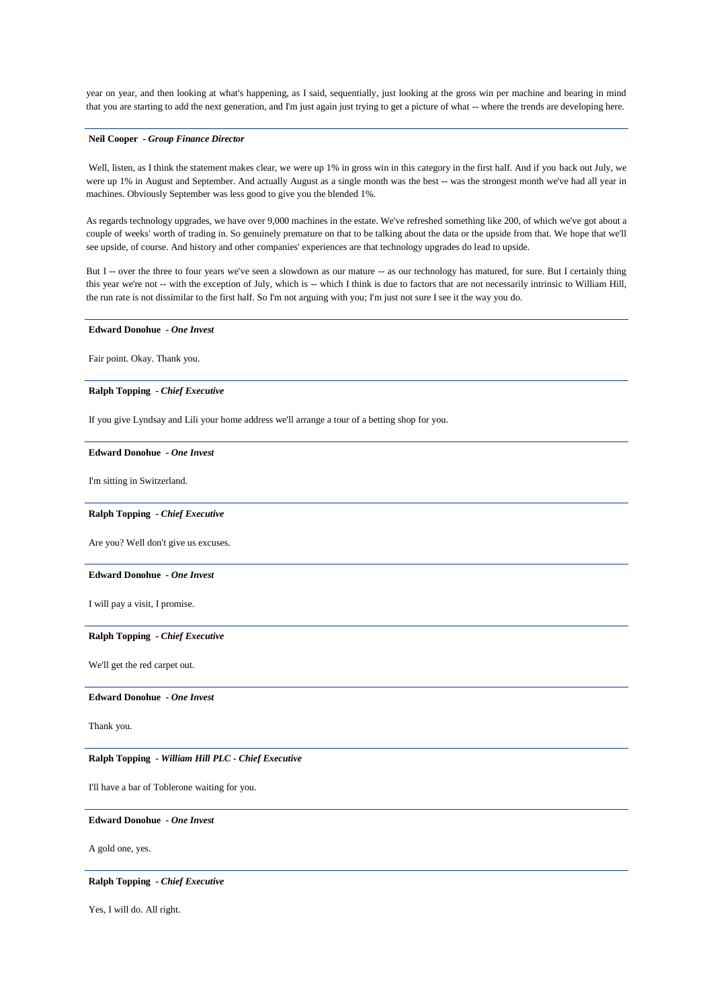year on year, and then looking at what's happening, as I said, sequentially, just looking at the gross win per machine and bearing in mind that you are starting to add the next generation, and I'm just again just trying to get a picture of what -- where the trends are developing here.

## **Neil Cooper** *- Group Finance Director*

Well, listen, as I think the statement makes clear, we were up 1% in gross win in this category in the first half. And if you back out July, we were up 1% in August and September. And actually August as a single month was the best -- was the strongest month we've had all year in machines. Obviously September was less good to give you the blended 1%.

As regards technology upgrades, we have over 9,000 machines in the estate. We've refreshed something like 200, of which we've got about a couple of weeks' worth of trading in. So genuinely premature on that to be talking about the data or the upside from that. We hope that we'll see upside, of course. And history and other companies' experiences are that technology upgrades do lead to upside.

But I -- over the three to four years we've seen a slowdown as our mature -- as our technology has matured, for sure. But I certainly thing this year we're not -- with the exception of July, which is -- which I think is due to factors that are not necessarily intrinsic to William Hill, the run rate is not dissimilar to the first half. So I'm not arguing with you; I'm just not sure I see it the way you do.

### **Edward Donohue** *- One Invest*

Fair point. Okay. Thank you.

## **Ralph Topping** *- Chief Executive*

If you give Lyndsay and Lili your home address we'll arrange a tour of a betting shop for you.

#### **Edward Donohue** *- One Invest*

I'm sitting in Switzerland.

#### **Ralph Topping** *- Chief Executive*

Are you? Well don't give us excuses.

## **Edward Donohue** *- One Invest*

I will pay a visit, I promise.

## **Ralph Topping** *- Chief Executive*

We'll get the red carpet out.

## **Edward Donohue** *- One Invest*

Thank you.

### **Ralph Topping** *- William Hill PLC - Chief Executive*

I'll have a bar of Toblerone waiting for you.

## **Edward Donohue** *- One Invest*

A gold one, yes.

### **Ralph Topping** *- Chief Executive*

Yes, I will do. All right.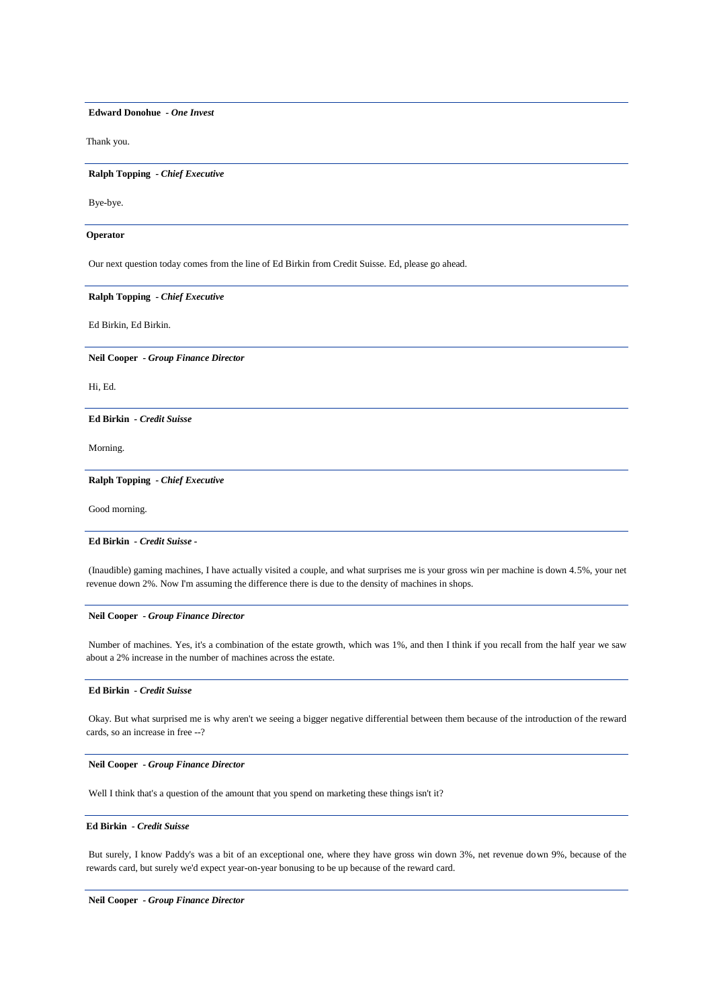**Edward Donohue** *- One Invest* 

Thank you.

**Ralph Topping** *- Chief Executive* 

Bye-bye.

#### **Operator**

Our next question today comes from the line of Ed Birkin from Credit Suisse. Ed, please go ahead.

## **Ralph Topping** *- Chief Executive*

Ed Birkin, Ed Birkin.

**Neil Cooper** *- Group Finance Director* 

Hi, Ed.

## **Ed Birkin** *- Credit Suisse*

Morning.

## **Ralph Topping** *- Chief Executive*

Good morning.

## **Ed Birkin** *- Credit Suisse -*

(Inaudible) gaming machines, I have actually visited a couple, and what surprises me is your gross win per machine is down 4.5%, your net revenue down 2%. Now I'm assuming the difference there is due to the density of machines in shops.

## **Neil Cooper** *- Group Finance Director*

Number of machines. Yes, it's a combination of the estate growth, which was 1%, and then I think if you recall from the half year we saw about a 2% increase in the number of machines across the estate.

## **Ed Birkin** *- Credit Suisse*

Okay. But what surprised me is why aren't we seeing a bigger negative differential between them because of the introduction of the reward cards, so an increase in free --?

## **Neil Cooper** *- Group Finance Director*

Well I think that's a question of the amount that you spend on marketing these things isn't it?

#### **Ed Birkin** *- Credit Suisse*

But surely, I know Paddy's was a bit of an exceptional one, where they have gross win down 3%, net revenue down 9%, because of the rewards card, but surely we'd expect year-on-year bonusing to be up because of the reward card.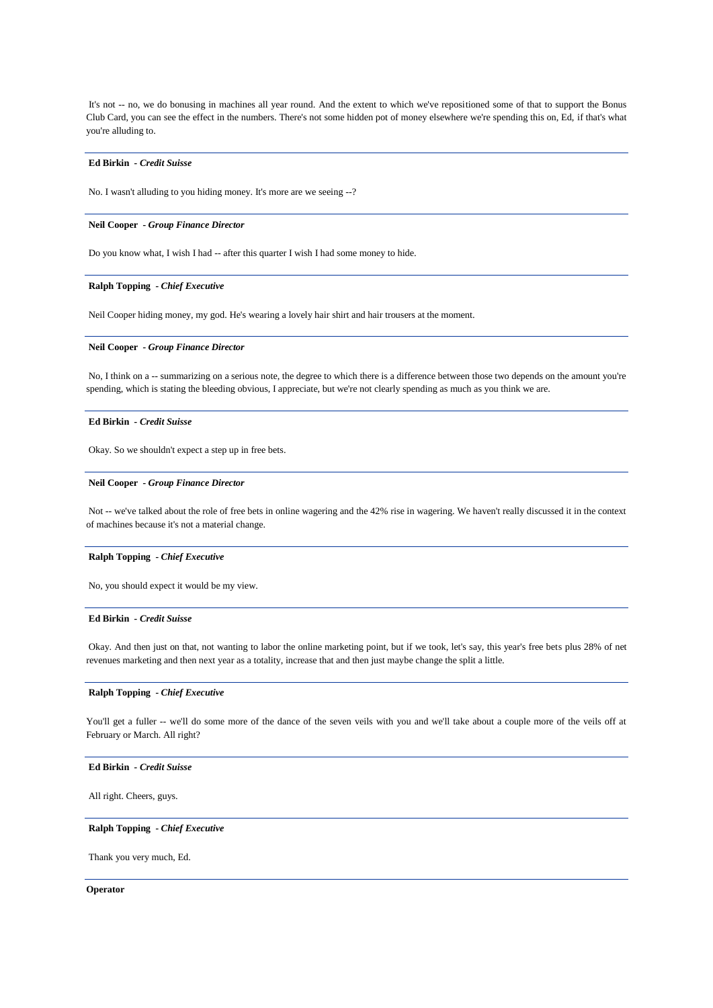It's not -- no, we do bonusing in machines all year round. And the extent to which we've repositioned some of that to support the Bonus Club Card, you can see the effect in the numbers. There's not some hidden pot of money elsewhere we're spending this on, Ed, if that's what you're alluding to.

### **Ed Birkin** *- Credit Suisse*

No. I wasn't alluding to you hiding money. It's more are we seeing --?

#### **Neil Cooper** *- Group Finance Director*

Do you know what, I wish I had -- after this quarter I wish I had some money to hide.

## **Ralph Topping** *- Chief Executive*

Neil Cooper hiding money, my god. He's wearing a lovely hair shirt and hair trousers at the moment.

## **Neil Cooper** *- Group Finance Director*

No, I think on a -- summarizing on a serious note, the degree to which there is a difference between those two depends on the amount you're spending, which is stating the bleeding obvious, I appreciate, but we're not clearly spending as much as you think we are.

## **Ed Birkin** *- Credit Suisse*

Okay. So we shouldn't expect a step up in free bets.

#### **Neil Cooper** *- Group Finance Director*

Not -- we've talked about the role of free bets in online wagering and the 42% rise in wagering. We haven't really discussed it in the context of machines because it's not a material change.

## **Ralph Topping** *- Chief Executive*

No, you should expect it would be my view.

## **Ed Birkin** *- Credit Suisse*

Okay. And then just on that, not wanting to labor the online marketing point, but if we took, let's say, this year's free bets plus 28% of net revenues marketing and then next year as a totality, increase that and then just maybe change the split a little.

#### **Ralph Topping** *- Chief Executive*

You'll get a fuller -- we'll do some more of the dance of the seven veils with you and we'll take about a couple more of the veils off at February or March. All right?

## **Ed Birkin** *- Credit Suisse*

All right. Cheers, guys.

## **Ralph Topping** *- Chief Executive*

Thank you very much, Ed.

#### **Operator**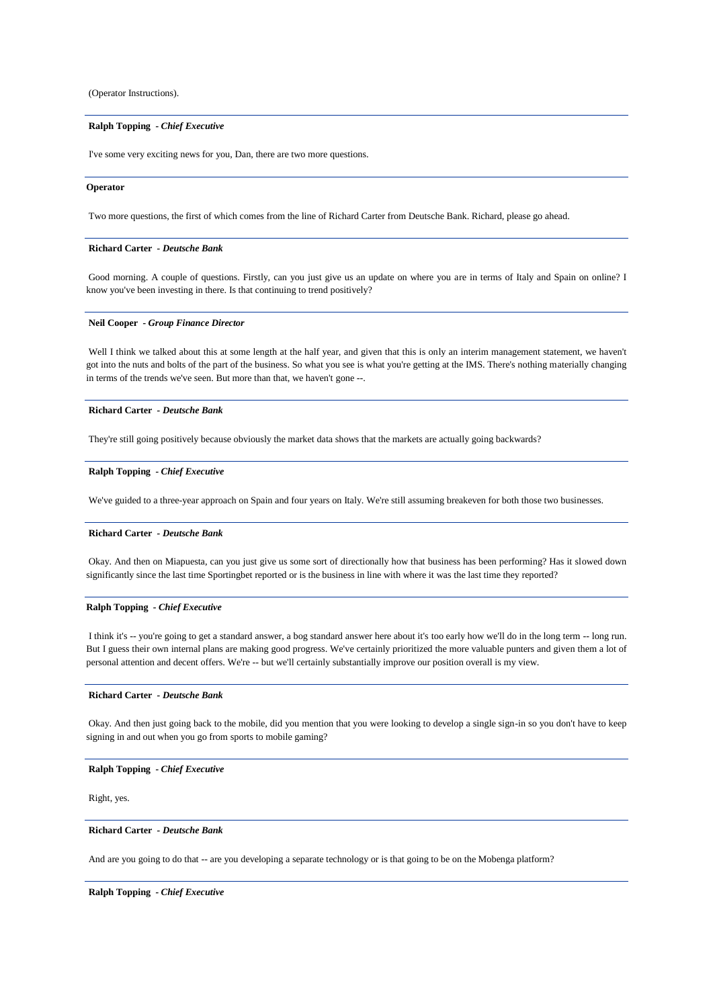(Operator Instructions).

## **Ralph Topping** *- Chief Executive*

I've some very exciting news for you, Dan, there are two more questions.

#### **Operator**

Two more questions, the first of which comes from the line of Richard Carter from Deutsche Bank. Richard, please go ahead.

#### **Richard Carter** *- Deutsche Bank*

Good morning. A couple of questions. Firstly, can you just give us an update on where you are in terms of Italy and Spain on online? I know you've been investing in there. Is that continuing to trend positively?

## **Neil Cooper** *- Group Finance Director*

Well I think we talked about this at some length at the half year, and given that this is only an interim management statement, we haven't got into the nuts and bolts of the part of the business. So what you see is what you're getting at the IMS. There's nothing materially changing in terms of the trends we've seen. But more than that, we haven't gone --.

#### **Richard Carter** *- Deutsche Bank*

They're still going positively because obviously the market data shows that the markets are actually going backwards?

## **Ralph Topping** *- Chief Executive*

We've guided to a three-year approach on Spain and four years on Italy. We're still assuming breakeven for both those two businesses.

## **Richard Carter** *- Deutsche Bank*

Okay. And then on Miapuesta, can you just give us some sort of directionally how that business has been performing? Has it slowed down significantly since the last time Sportingbet reported or is the business in line with where it was the last time they reported?

## **Ralph Topping** *- Chief Executive*

I think it's -- you're going to get a standard answer, a bog standard answer here about it's too early how we'll do in the long term -- long run. But I guess their own internal plans are making good progress. We've certainly prioritized the more valuable punters and given them a lot of personal attention and decent offers. We're -- but we'll certainly substantially improve our position overall is my view.

#### **Richard Carter** *- Deutsche Bank*

Okay. And then just going back to the mobile, did you mention that you were looking to develop a single sign-in so you don't have to keep signing in and out when you go from sports to mobile gaming?

## **Ralph Topping** *- Chief Executive*

Right, yes.

## **Richard Carter** *- Deutsche Bank*

And are you going to do that -- are you developing a separate technology or is that going to be on the Mobenga platform?

## **Ralph Topping** *- Chief Executive*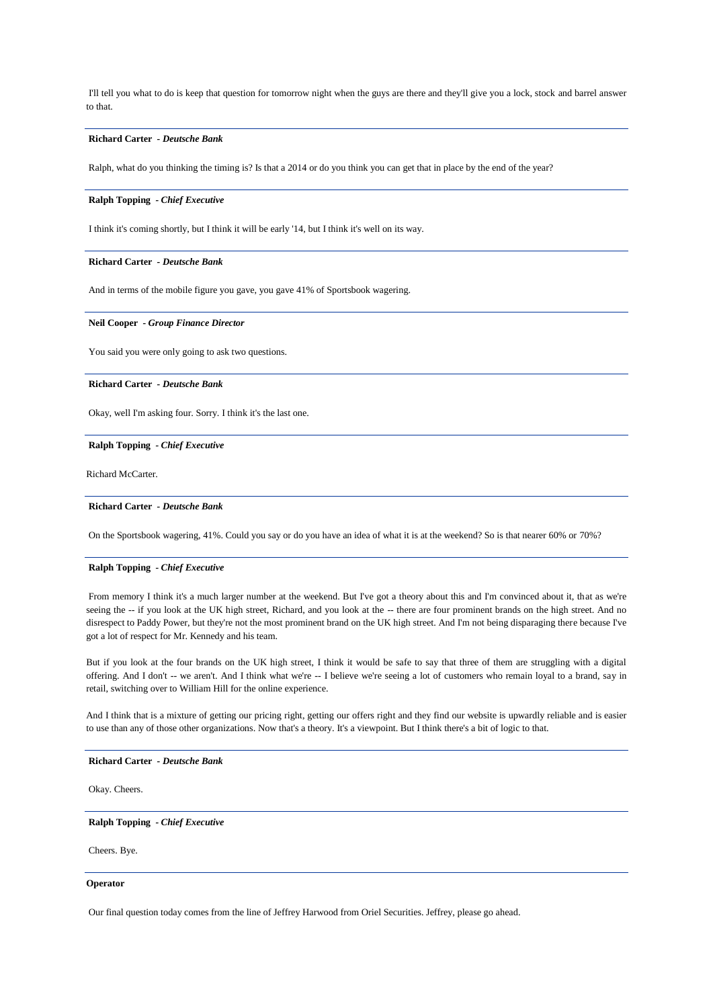I'll tell you what to do is keep that question for tomorrow night when the guys are there and they'll give you a lock, stock and barrel answer to that.

## **Richard Carter** *- Deutsche Bank*

Ralph, what do you thinking the timing is? Is that a 2014 or do you think you can get that in place by the end of the year?

#### **Ralph Topping** *- Chief Executive*

I think it's coming shortly, but I think it will be early '14, but I think it's well on its way.

#### **Richard Carter** *- Deutsche Bank*

And in terms of the mobile figure you gave, you gave 41% of Sportsbook wagering.

## **Neil Cooper** *- Group Finance Director*

You said you were only going to ask two questions.

## **Richard Carter** *- Deutsche Bank*

Okay, well I'm asking four. Sorry. I think it's the last one.

### **Ralph Topping** *- Chief Executive*

Richard McCarter.

#### **Richard Carter** *- Deutsche Bank*

On the Sportsbook wagering, 41%. Could you say or do you have an idea of what it is at the weekend? So is that nearer 60% or 70%?

#### **Ralph Topping** *- Chief Executive*

From memory I think it's a much larger number at the weekend. But I've got a theory about this and I'm convinced about it, that as we're seeing the -- if you look at the UK high street, Richard, and you look at the -- there are four prominent brands on the high street. And no disrespect to Paddy Power, but they're not the most prominent brand on the UK high street. And I'm not being disparaging there because I've got a lot of respect for Mr. Kennedy and his team.

But if you look at the four brands on the UK high street, I think it would be safe to say that three of them are struggling with a digital offering. And I don't -- we aren't. And I think what we're -- I believe we're seeing a lot of customers who remain loyal to a brand, say in retail, switching over to William Hill for the online experience.

And I think that is a mixture of getting our pricing right, getting our offers right and they find our website is upwardly reliable and is easier to use than any of those other organizations. Now that's a theory. It's a viewpoint. But I think there's a bit of logic to that.

### **Richard Carter** *- Deutsche Bank*

Okay. Cheers.

#### **Ralph Topping** *- Chief Executive*

Cheers. Bye.

## **Operator**

Our final question today comes from the line of Jeffrey Harwood from Oriel Securities. Jeffrey, please go ahead.